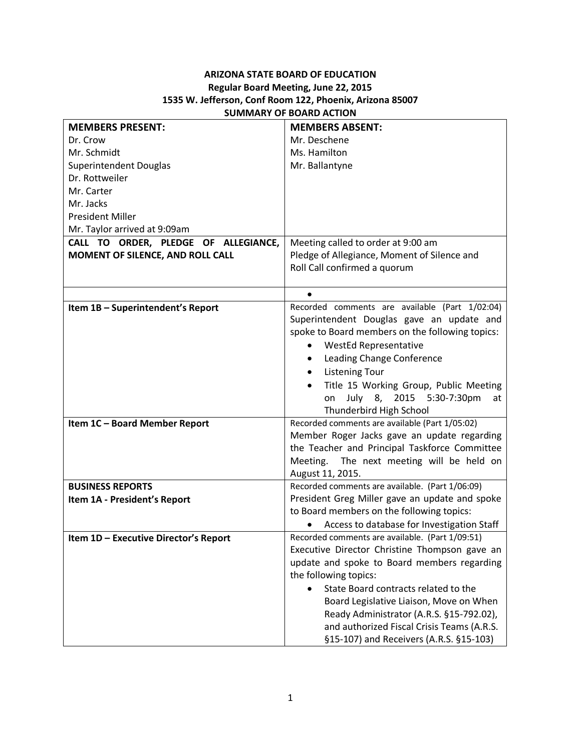## **ARIZONA STATE BOARD OF EDUCATION Regular Board Meeting, June 22, 2015 1535 W. Jefferson, Conf Room 122, Phoenix, Arizona 85007 SUMMARY OF BOARD ACTION**

| <b>MEMBERS PRESENT:</b>               | <b>MEMBERS ABSENT:</b>                            |
|---------------------------------------|---------------------------------------------------|
| Dr. Crow                              | Mr. Deschene                                      |
| Mr. Schmidt                           | Ms. Hamilton                                      |
| Superintendent Douglas                | Mr. Ballantyne                                    |
| Dr. Rottweiler                        |                                                   |
| Mr. Carter                            |                                                   |
| Mr. Jacks                             |                                                   |
| <b>President Miller</b>               |                                                   |
| Mr. Taylor arrived at 9:09am          |                                                   |
| CALL TO ORDER, PLEDGE OF ALLEGIANCE,  | Meeting called to order at 9:00 am                |
| MOMENT OF SILENCE, AND ROLL CALL      | Pledge of Allegiance, Moment of Silence and       |
|                                       | Roll Call confirmed a quorum                      |
|                                       |                                                   |
|                                       | $\bullet$                                         |
| Item 1B - Superintendent's Report     | Recorded comments are available (Part 1/02:04)    |
|                                       | Superintendent Douglas gave an update and         |
|                                       | spoke to Board members on the following topics:   |
|                                       | <b>WestEd Representative</b><br>$\bullet$         |
|                                       | Leading Change Conference<br>$\bullet$            |
|                                       | <b>Listening Tour</b><br>$\bullet$                |
|                                       | Title 15 Working Group, Public Meeting            |
|                                       | July 8, 2015 5:30-7:30pm<br>on<br>at              |
|                                       | Thunderbird High School                           |
| Item 1C - Board Member Report         | Recorded comments are available (Part 1/05:02)    |
|                                       | Member Roger Jacks gave an update regarding       |
|                                       | the Teacher and Principal Taskforce Committee     |
|                                       | The next meeting will be held on<br>Meeting.      |
|                                       | August 11, 2015.                                  |
| <b>BUSINESS REPORTS</b>               | Recorded comments are available. (Part 1/06:09)   |
| Item 1A - President's Report          | President Greg Miller gave an update and spoke    |
|                                       | to Board members on the following topics:         |
|                                       | Access to database for Investigation Staff        |
| Item 1D - Executive Director's Report | Recorded comments are available. (Part 1/09:51)   |
|                                       | Executive Director Christine Thompson gave an     |
|                                       | update and spoke to Board members regarding       |
|                                       | the following topics:                             |
|                                       | State Board contracts related to the<br>$\bullet$ |
|                                       | Board Legislative Liaison, Move on When           |
|                                       | Ready Administrator (A.R.S. §15-792.02),          |
|                                       | and authorized Fiscal Crisis Teams (A.R.S.        |
|                                       | §15-107) and Receivers (A.R.S. §15-103)           |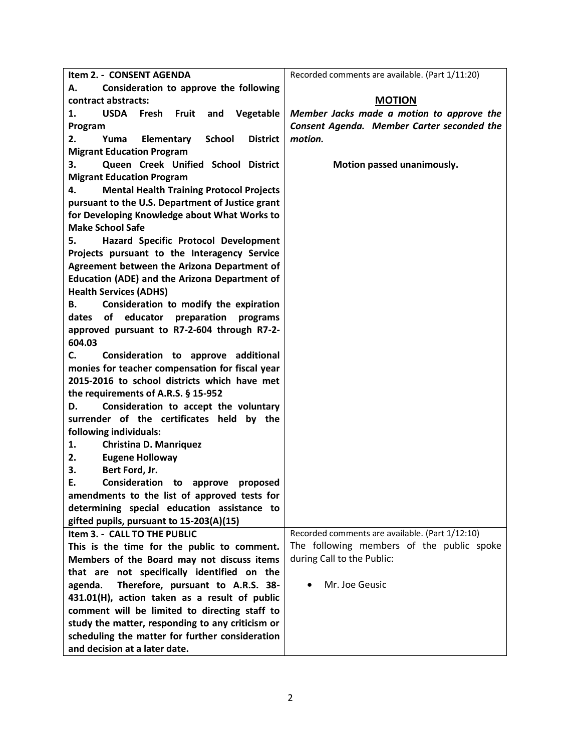| Item 2. - CONSENT AGENDA                                     | Recorded comments are available. (Part 1/11:20) |
|--------------------------------------------------------------|-------------------------------------------------|
| Consideration to approve the following<br>А.                 |                                                 |
| contract abstracts:                                          | <b>MOTION</b>                                   |
| <b>USDA</b><br>Fresh<br>Fruit and<br>Vegetable<br>1.         | Member Jacks made a motion to approve the       |
| Program                                                      | Consent Agenda. Member Carter seconded the      |
| <b>School</b><br><b>District</b><br>2.<br>Yuma<br>Elementary | motion.                                         |
| <b>Migrant Education Program</b>                             |                                                 |
| Queen Creek Unified School District<br>З.                    | Motion passed unanimously.                      |
| <b>Migrant Education Program</b>                             |                                                 |
| 4.<br><b>Mental Health Training Protocol Projects</b>        |                                                 |
| pursuant to the U.S. Department of Justice grant             |                                                 |
| for Developing Knowledge about What Works to                 |                                                 |
| <b>Make School Safe</b>                                      |                                                 |
| Hazard Specific Protocol Development<br>5.                   |                                                 |
| Projects pursuant to the Interagency Service                 |                                                 |
| Agreement between the Arizona Department of                  |                                                 |
| <b>Education (ADE) and the Arizona Department of</b>         |                                                 |
| <b>Health Services (ADHS)</b>                                |                                                 |
| Consideration to modify the expiration<br>В.                 |                                                 |
| dates of educator<br>preparation<br>programs                 |                                                 |
| approved pursuant to R7-2-604 through R7-2-                  |                                                 |
| 604.03                                                       |                                                 |
| Consideration to approve additional<br>C.                    |                                                 |
| monies for teacher compensation for fiscal year              |                                                 |
| 2015-2016 to school districts which have met                 |                                                 |
| the requirements of A.R.S. § 15-952                          |                                                 |
| Consideration to accept the voluntary<br>D.                  |                                                 |
| surrender of the certificates held by the                    |                                                 |
| following individuals:                                       |                                                 |
| <b>Christina D. Manriquez</b><br>1.                          |                                                 |
| <b>Eugene Holloway</b><br>2.                                 |                                                 |
| Bert Ford, Jr.<br>3.                                         |                                                 |
| Consideration to approve proposed<br>Е.                      |                                                 |
| amendments to the list of approved tests for                 |                                                 |
| determining special education assistance to                  |                                                 |
| gifted pupils, pursuant to 15-203(A)(15)                     |                                                 |
| Item 3. - CALL TO THE PUBLIC                                 | Recorded comments are available. (Part 1/12:10) |
| This is the time for the public to comment.                  | The following members of the public spoke       |
| Members of the Board may not discuss items                   | during Call to the Public:                      |
| that are not specifically identified on the                  |                                                 |
| Therefore, pursuant to A.R.S. 38-<br>agenda.                 | Mr. Joe Geusic                                  |
| 431.01(H), action taken as a result of public                |                                                 |
| comment will be limited to directing staff to                |                                                 |
| study the matter, responding to any criticism or             |                                                 |
| scheduling the matter for further consideration              |                                                 |
| and decision at a later date.                                |                                                 |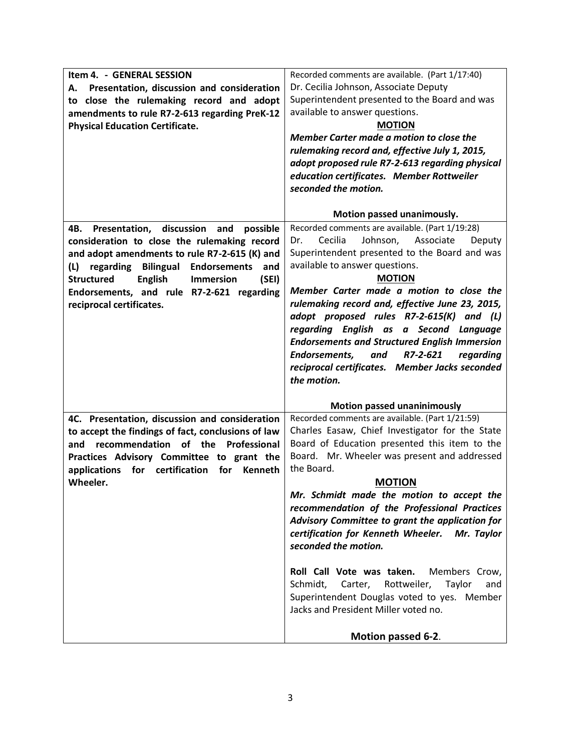| Item 4. - GENERAL SESSION<br>Presentation, discussion and consideration<br>А.<br>to close the rulemaking record and adopt<br>amendments to rule R7-2-613 regarding PreK-12<br><b>Physical Education Certificate.</b>                                                                                                                                            | Recorded comments are available. (Part 1/17:40)<br>Dr. Cecilia Johnson, Associate Deputy<br>Superintendent presented to the Board and was<br>available to answer questions.<br><b>MOTION</b><br>Member Carter made a motion to close the<br>rulemaking record and, effective July 1, 2015,<br>adopt proposed rule R7-2-613 regarding physical<br>education certificates. Member Rottweiler<br>seconded the motion.                                                                                                                                                                                                                                         |
|-----------------------------------------------------------------------------------------------------------------------------------------------------------------------------------------------------------------------------------------------------------------------------------------------------------------------------------------------------------------|------------------------------------------------------------------------------------------------------------------------------------------------------------------------------------------------------------------------------------------------------------------------------------------------------------------------------------------------------------------------------------------------------------------------------------------------------------------------------------------------------------------------------------------------------------------------------------------------------------------------------------------------------------|
|                                                                                                                                                                                                                                                                                                                                                                 | Motion passed unanimously.                                                                                                                                                                                                                                                                                                                                                                                                                                                                                                                                                                                                                                 |
| Presentation,<br>discussion<br>possible<br>4B.<br>and<br>consideration to close the rulemaking record<br>and adopt amendments to rule R7-2-615 (K) and<br><b>Bilingual Endorsements</b><br>regarding<br>(L)<br>and<br><b>Structured</b><br><b>English</b><br><b>Immersion</b><br>(SEI)<br>Endorsements, and rule R7-2-621 regarding<br>reciprocal certificates. | Recorded comments are available. (Part 1/19:28)<br>Cecilia<br>Johnson,<br>Associate<br>Deputy<br>Dr.<br>Superintendent presented to the Board and was<br>available to answer questions.<br><b>MOTION</b><br>Member Carter made a motion to close the<br>rulemaking record and, effective June 23, 2015,<br>adopt proposed rules R7-2-615(K) and (L)<br>regarding English as a Second Language<br><b>Endorsements and Structured English Immersion</b><br>Endorsements,<br>R7-2-621<br>regarding<br>and<br>reciprocal certificates. Member Jacks seconded<br>the motion.                                                                                    |
|                                                                                                                                                                                                                                                                                                                                                                 | <b>Motion passed unaninimously</b>                                                                                                                                                                                                                                                                                                                                                                                                                                                                                                                                                                                                                         |
| 4C. Presentation, discussion and consideration<br>to accept the findings of fact, conclusions of law<br>recommendation<br>of the<br>Professional<br>and<br>Practices Advisory Committee to grant the<br>applications<br>for certification<br>for<br>Kenneth<br>Wheeler.                                                                                         | Recorded comments are available. (Part 1/21:59)<br>Charles Easaw, Chief Investigator for the State<br>Board of Education presented this item to the<br>Board. Mr. Wheeler was present and addressed<br>the Board.<br><b>MOTION</b><br>Mr. Schmidt made the motion to accept the<br>recommendation of the Professional Practices<br>Advisory Committee to grant the application for<br>certification for Kenneth Wheeler.<br>Mr. Taylor<br>seconded the motion.<br>Roll Call Vote was taken.<br>Members Crow,<br>Rottweiler,<br>Taylor<br>Schmidt,<br>Carter,<br>and<br>Superintendent Douglas voted to yes. Member<br>Jacks and President Miller voted no. |
|                                                                                                                                                                                                                                                                                                                                                                 | Motion passed 6-2.                                                                                                                                                                                                                                                                                                                                                                                                                                                                                                                                                                                                                                         |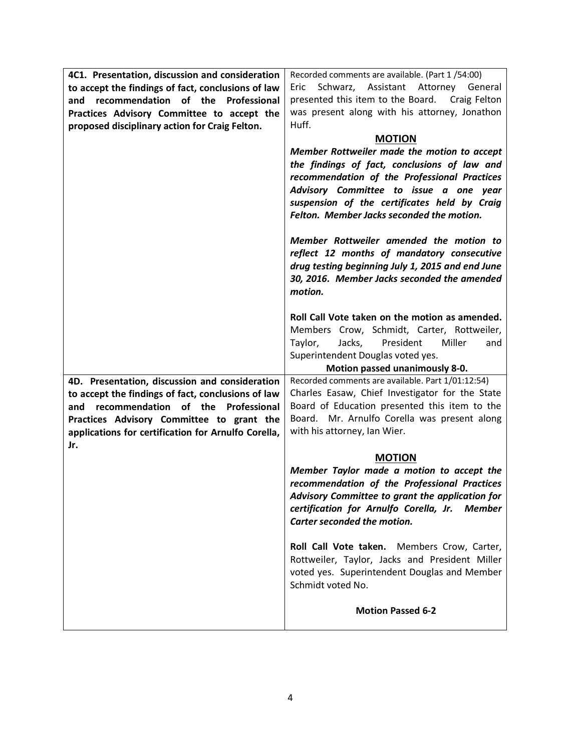| 4C1. Presentation, discussion and consideration     | Recorded comments are available. (Part 1/54:00)   |
|-----------------------------------------------------|---------------------------------------------------|
| to accept the findings of fact, conclusions of law  | Schwarz, Assistant Attorney General<br>Eric       |
| recommendation of the Professional<br>and           | presented this item to the Board. Craig Felton    |
| Practices Advisory Committee to accept the          | was present along with his attorney, Jonathon     |
| proposed disciplinary action for Craig Felton.      | Huff.                                             |
|                                                     | <b>MOTION</b>                                     |
|                                                     | Member Rottweiler made the motion to accept       |
|                                                     | the findings of fact, conclusions of law and      |
|                                                     | recommendation of the Professional Practices      |
|                                                     | Advisory Committee to issue a one year            |
|                                                     | suspension of the certificates held by Craig      |
|                                                     | Felton. Member Jacks seconded the motion.         |
|                                                     |                                                   |
|                                                     | Member Rottweiler amended the motion to           |
|                                                     | reflect 12 months of mandatory consecutive        |
|                                                     | drug testing beginning July 1, 2015 and end June  |
|                                                     | 30, 2016. Member Jacks seconded the amended       |
|                                                     | motion.                                           |
|                                                     |                                                   |
|                                                     | Roll Call Vote taken on the motion as amended.    |
|                                                     | Members Crow, Schmidt, Carter, Rottweiler,        |
|                                                     | Jacks,<br>President<br>Miller<br>Taylor,<br>and   |
|                                                     | Superintendent Douglas voted yes.                 |
|                                                     | Motion passed unanimously 8-0.                    |
| 4D. Presentation, discussion and consideration      | Recorded comments are available. Part 1/01:12:54) |
| to accept the findings of fact, conclusions of law  | Charles Easaw, Chief Investigator for the State   |
| recommendation of the Professional<br>and           | Board of Education presented this item to the     |
| Practices Advisory Committee to grant the           | Board. Mr. Arnulfo Corella was present along      |
| applications for certification for Arnulfo Corella, | with his attorney, Ian Wier.                      |
| Jr.                                                 |                                                   |
|                                                     |                                                   |
|                                                     | <b>MOTION</b>                                     |
|                                                     | Member Taylor made a motion to accept the         |
|                                                     | recommendation of the Professional Practices      |
|                                                     | Advisory Committee to grant the application for   |
|                                                     | certification for Arnulfo Corella, Jr.<br>Member  |
|                                                     | Carter seconded the motion.                       |
|                                                     |                                                   |
|                                                     | Roll Call Vote taken. Members Crow, Carter,       |
|                                                     | Rottweiler, Taylor, Jacks and President Miller    |
|                                                     | voted yes. Superintendent Douglas and Member      |
|                                                     | Schmidt voted No.                                 |
|                                                     |                                                   |
|                                                     | <b>Motion Passed 6-2</b>                          |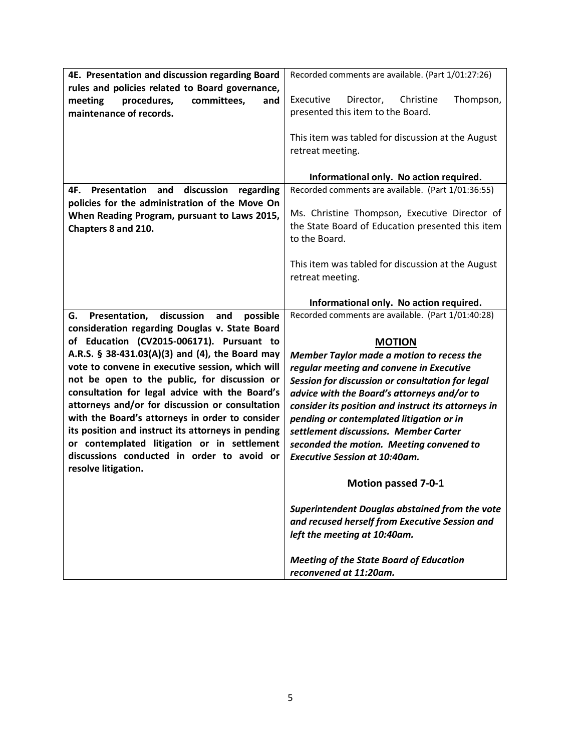| 4E. Presentation and discussion regarding Board      | Recorded comments are available. (Part 1/01:27:26)  |
|------------------------------------------------------|-----------------------------------------------------|
| rules and policies related to Board governance,      |                                                     |
| procedures,<br>meeting<br>committees,<br>and         | Thompson,<br>Executive<br>Christine<br>Director,    |
| maintenance of records.                              | presented this item to the Board.                   |
|                                                      |                                                     |
|                                                      | This item was tabled for discussion at the August   |
|                                                      | retreat meeting.                                    |
|                                                      |                                                     |
|                                                      | Informational only. No action required.             |
| Presentation and<br>discussion<br>4F.<br>regarding   | Recorded comments are available. (Part 1/01:36:55)  |
| policies for the administration of the Move On       |                                                     |
| When Reading Program, pursuant to Laws 2015,         | Ms. Christine Thompson, Executive Director of       |
| Chapters 8 and 210.                                  | the State Board of Education presented this item    |
|                                                      | to the Board.                                       |
|                                                      |                                                     |
|                                                      | This item was tabled for discussion at the August   |
|                                                      | retreat meeting.                                    |
|                                                      |                                                     |
|                                                      | Informational only. No action required.             |
| discussion<br>Presentation,<br>and<br>possible<br>G. | Recorded comments are available. (Part 1/01:40:28)  |
| consideration regarding Douglas v. State Board       |                                                     |
| of Education (CV2015-006171). Pursuant to            | <b>MOTION</b>                                       |
| A.R.S. § 38-431.03(A)(3) and (4), the Board may      | <b>Member Taylor made a motion to recess the</b>    |
| vote to convene in executive session, which will     | regular meeting and convene in Executive            |
| not be open to the public, for discussion or         |                                                     |
| consultation for legal advice with the Board's       | Session for discussion or consultation for legal    |
| attorneys and/or for discussion or consultation      | advice with the Board's attorneys and/or to         |
| with the Board's attorneys in order to consider      | consider its position and instruct its attorneys in |
|                                                      | pending or contemplated litigation or in            |
| its position and instruct its attorneys in pending   | settlement discussions. Member Carter               |
| or contemplated litigation or in settlement          | seconded the motion. Meeting convened to            |
| discussions conducted in order to avoid or           | <b>Executive Session at 10:40am.</b>                |
| resolve litigation.                                  |                                                     |
|                                                      | <b>Motion passed 7-0-1</b>                          |
|                                                      |                                                     |
|                                                      | Superintendent Douglas abstained from the vote      |
|                                                      | and recused herself from Executive Session and      |
|                                                      | left the meeting at 10:40am.                        |
|                                                      | <b>Meeting of the State Board of Education</b>      |